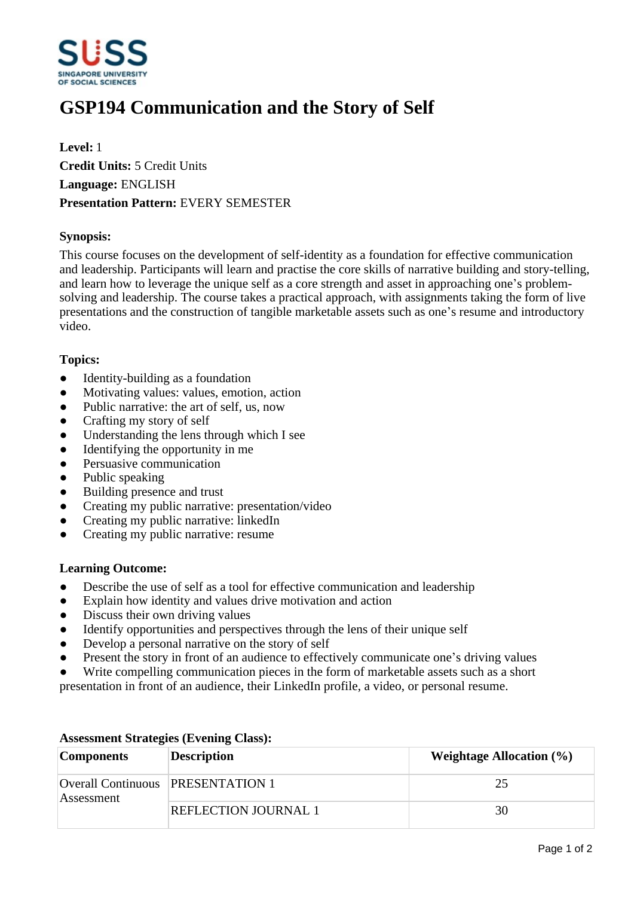

# **GSP194 Communication and the Story of Self**

**Level:** 1 **Credit Units:** 5 Credit Units **Language:** ENGLISH **Presentation Pattern:** EVERY SEMESTER

# **Synopsis:**

This course focuses on the development of self-identity as a foundation for effective communication and leadership. Participants will learn and practise the core skills of narrative building and story-telling, and learn how to leverage the unique self as a core strength and asset in approaching one's problemsolving and leadership. The course takes a practical approach, with assignments taking the form of live presentations and the construction of tangible marketable assets such as one's resume and introductory video.

# **Topics:**

- $\bullet$  Identity-building as a foundation
- Motivating values: values, emotion, action
- Public narrative: the art of self, us, now
- Crafting my story of self
- Understanding the lens through which I see
- $\bullet$  Identifying the opportunity in me
- Persuasive communication
- Public speaking
- Building presence and trust
- Creating my public narrative: presentation/video
- ƔCreating my public narrative: linkedIn
- Creating my public narrative: resume

# **Learning Outcome:**

- Describe the use of self as a tool for effective communication and leadership
- Explain how identity and values drive motivation and action
- Discuss their own driving values
- Identify opportunities and perspectives through the lens of their unique self
- Develop a personal narrative on the story of self
- Present the story in front of an audience to effectively communicate one's driving values
- Write compelling communication pieces in the form of marketable assets such as a short
- presentation in front of an audience, their LinkedIn profile, a video, or personal resume.

| <b>Components</b> | <b>Description</b>                       | Weightage Allocation $(\% )$ |
|-------------------|------------------------------------------|------------------------------|
| Assessment        | <b>Overall Continuous PRESENTATION 1</b> | 25                           |
|                   | <b>REFLECTION JOURNAL 1</b>              | 30                           |

# **Assessment Strategies (Evening Class):**